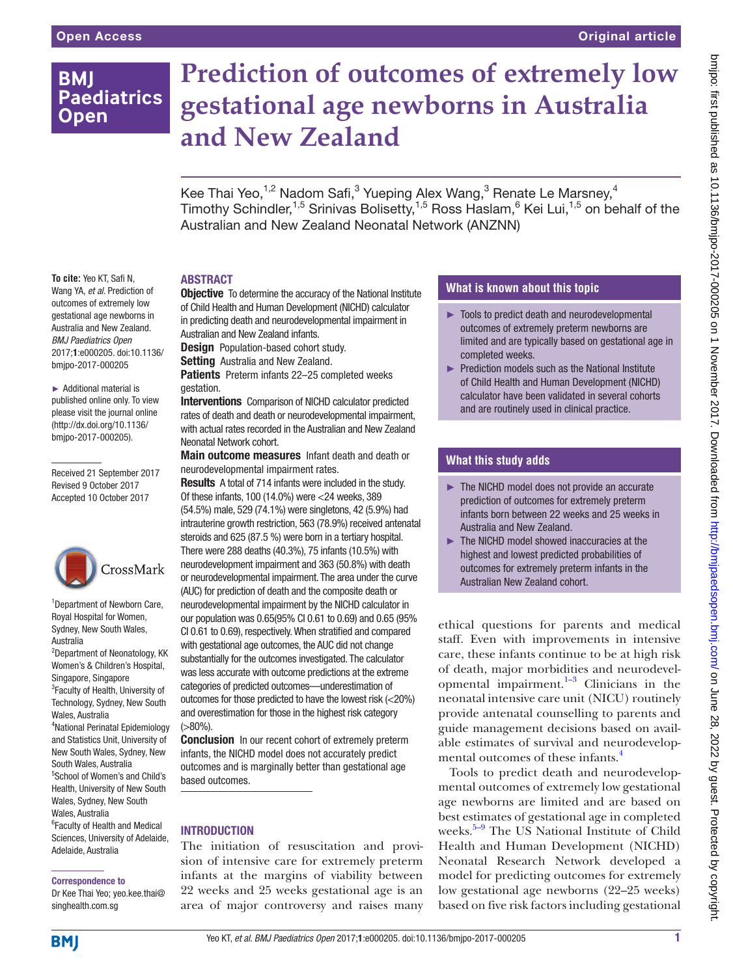## **BMJ Paediatrics Open**

# **Prediction of outcomes of extremely low gestational age newborns in Australia and New Zealand**

Kee Thai Yeo,<sup>1,2</sup> Nadom Safi,<sup>3</sup> Yueping Alex Wang,<sup>3</sup> Renate Le Marsney,<sup>4</sup> Timothy Schindler,<sup>1,5</sup> Srinivas Bolisetty,<sup>1,5</sup> Ross Haslam,<sup>6</sup> Kei Lui,<sup>1,5</sup> on behalf of the Australian and New Zealand Neonatal Network (ANZNN)

#### **To cite:** Yeo KT, Safi N, Wang YA, *et al*. Prediction of outcomes of extremely low gestational age newborns in Australia and New Zealand. *BMJ Paediatrics Open* 2017;1:e000205. doi:10.1136/ bmjpo-2017-000205

► Additional material is published online only. To view please visit the journal online (http://dx.doi.org/10.1136/ bmjpo-2017-000205).

#### Received 21 September 2017 Revised 9 October 2017 Accepted 10 October 2017



<sup>1</sup>Department of Newborn Care, Royal Hospital for Women, Sydney, New South Wales, Australia 2 Department of Neonatology, KK

Women's & Children's Hospital, Singapore, Singapore <sup>3</sup>Faculty of Health, University of Technology, Sydney, New South Wales, Australia

4 National Perinatal Epidemiology and Statistics Unit, University of New South Wales, Sydney, New South Wales, Australia 5 School of Women's and Child's Health, University of New South Wales, Sydney, New South Wales, Australia 6 Faculty of Health and Medical Sciences, University of Adelaide,

## Adelaide, Australia

#### Correspondence to

Dr Kee Thai Yeo; yeo.kee.thai@ singhealth.com.sg

## **ABSTRACT**

**Objective** To determine the accuracy of the National Institute of Child Health and Human Development (NICHD) calculator in predicting death and neurodevelopmental impairment in Australian and New Zealand infants.

**Design** Population-based cohort study.

**Setting** Australia and New Zealand.

Patients Preterm infants 22-25 completed weeks gestation.

Interventions Comparison of NICHD calculator predicted rates of death and death or neurodevelopmental impairment, with actual rates recorded in the Australian and New Zealand Neonatal Network cohort.

Main outcome measures Infant death and death or neurodevelopmental impairment rates.

Results A total of 714 infants were included in the study. Of these infants, 100 (14.0%) were <24 weeks, 389 (54.5%) male, 529 (74.1%) were singletons, 42 (5.9%) had intrauterine growth restriction, 563 (78.9%) received antenatal steroids and 625 (87.5 %) were born in a tertiary hospital. There were 288 deaths (40.3%), 75 infants (10.5%) with neurodevelopment impairment and 363 (50.8%) with death or neurodevelopmental impairment. The area under the curve (AUC) for prediction of death and the composite death or neurodevelopmental impairment by the NICHD calculator in our population was 0.65(95% CI 0.61 to 0.69) and 0.65 (95% CI 0.61 to 0.69), respectively. When stratified and compared with gestational age outcomes, the AUC did not change substantially for the outcomes investigated. The calculator was less accurate with outcome predictions at the extreme categories of predicted outcomes—underestimation of outcomes for those predicted to have the lowest risk (<20%) and overestimation for those in the highest risk category (>80%).

**Conclusion** In our recent cohort of extremely preterm infants, the NICHD model does not accurately predict outcomes and is marginally better than gestational age based outcomes.

## **INTRODUCTION**

The initiation of resuscitation and provision of intensive care for extremely preterm infants at the margins of viability between 22 weeks and 25 weeks gestational age is an area of major controversy and raises many

## **What is known about this topic**

- ► Tools to predict death and neurodevelopmental outcomes of extremely preterm newborns are limited and are typically based on gestational age in completed weeks.
- ► Prediction models such as the National Institute of Child Health and Human Development (NICHD) calculator have been validated in several cohorts and are routinely used in clinical practice.

## **What this study adds**

- ► The NICHD model does not provide an accurate prediction of outcomes for extremely preterm infants born between 22 weeks and 25 weeks in Australia and New Zealand.
- ► The NICHD model showed inaccuracies at the highest and lowest predicted probabilities of outcomes for extremely preterm infants in the Australian New Zealand cohort.

ethical questions for parents and medical staff. Even with improvements in intensive care, these infants continue to be at high risk of death, major morbidities and neurodevelopmental impairment. $1-3$  Clinicians in the neonatal intensive care unit (NICU) routinely provide antenatal counselling to parents and guide management decisions based on available estimates of survival and neurodevelop-mental outcomes of these infants.<sup>[4](#page-7-0)</sup>

Tools to predict death and neurodevelopmental outcomes of extremely low gestational age newborns are limited and are based on best estimates of gestational age in completed weeks.<sup>[5–9](#page-7-1)</sup> The US National Institute of Child Health and Human Development (NICHD) Neonatal Research Network developed a model for predicting outcomes for extremely low gestational age newborns (22–25 weeks) based on five risk factors including gestational

**BMJ**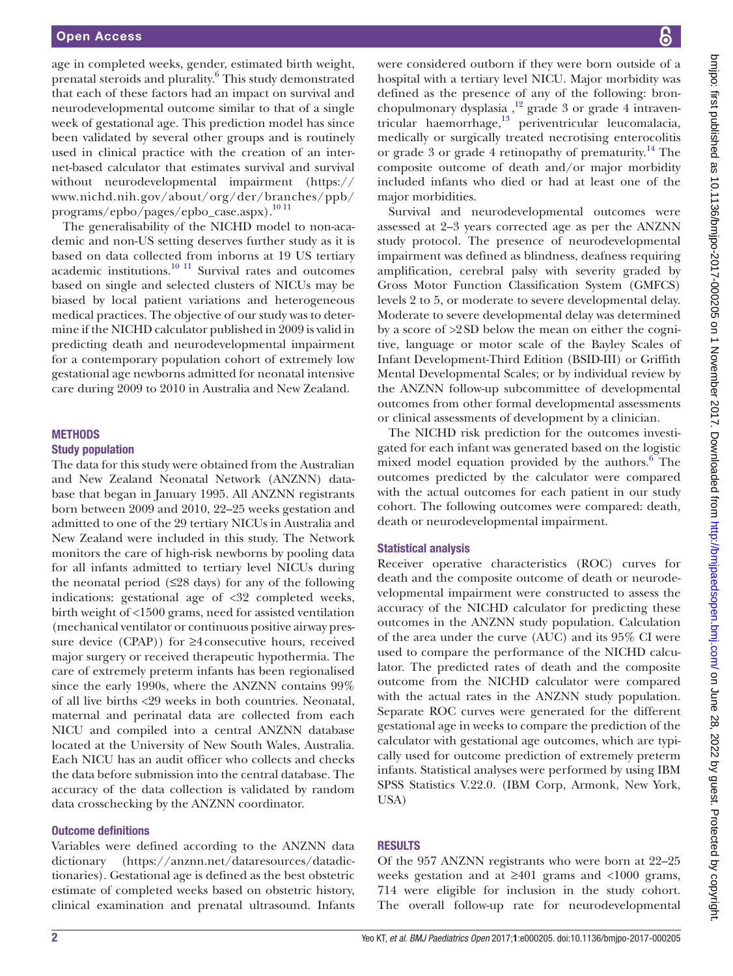age in completed weeks, gender, estimated birth weight, prenatal steroids and plurality.<sup>[6](#page-7-2)</sup> This study demonstrated that each of these factors had an impact on survival and neurodevelopmental outcome similar to that of a single week of gestational age. This prediction model has since been validated by several other groups and is routinely used in clinical practice with the creation of an internet-based calculator that estimates survival and survival without neurodevelopmental impairment [\(https://](https://www.nichd.nih.gov/about/org/der/branches/ppb/programs/epbo/pages/epbo_case.aspx) [www.nichd.nih.gov/about/org/der/branches/ppb/](https://www.nichd.nih.gov/about/org/der/branches/ppb/programs/epbo/pages/epbo_case.aspx) [programs/epbo/pages/epbo\\_case.aspx](https://www.nichd.nih.gov/about/org/der/branches/ppb/programs/epbo/pages/epbo_case.aspx))[.10 11](#page-7-3)

The generalisability of the NICHD model to non-academic and non-US setting deserves further study as it is based on data collected from inborns at 19 US tertiary academic institutions. $10^{-11}$  Survival rates and outcomes based on single and selected clusters of NICUs may be biased by local patient variations and heterogeneous medical practices. The objective of our study was to determine if the NICHD calculator published in 2009 is valid in predicting death and neurodevelopmental impairment for a contemporary population cohort of extremely low gestational age newborns admitted for neonatal intensive care during 2009 to 2010 in Australia and New Zealand.

### **METHODS**

#### Study population

The data for this study were obtained from the Australian and New Zealand Neonatal Network (ANZNN) database that began in January 1995. All ANZNN registrants born between 2009 and 2010, 22–25 weeks gestation and admitted to one of the 29 tertiary NICUs in Australia and New Zealand were included in this study. The Network monitors the care of high-risk newborns by pooling data for all infants admitted to tertiary level NICUs during the neonatal period  $(\leq 28 \text{ days})$  for any of the following indications: gestational age of <32 completed weeks, birth weight of <1500 grams, need for assisted ventilation (mechanical ventilator or continuous positive airway pressure device (CPAP)) for ≥4consecutive hours, received major surgery or received therapeutic hypothermia. The care of extremely preterm infants has been regionalised since the early 1990s, where the ANZNN contains 99% of all live births <29 weeks in both countries. Neonatal, maternal and perinatal data are collected from each NICU and compiled into a central ANZNN database located at the University of New South Wales, Australia. Each NICU has an audit officer who collects and checks the data before submission into the central database. The accuracy of the data collection is validated by random data crosschecking by the ANZNN coordinator.

## Outcome definitions

Variables were defined according to the ANZNN data dictionary ([https://anznn.net/dataresources/datadic](https://anznn.net/dataresources/datadictionaries)[tionaries\)](https://anznn.net/dataresources/datadictionaries). Gestational age is defined as the best obstetric estimate of completed weeks based on obstetric history, clinical examination and prenatal ultrasound. Infants

were considered outborn if they were born outside of a hospital with a tertiary level NICU. Major morbidity was defined as the presence of any of the following: bronchopulmonary dysplasia,<sup>12</sup> grade 3 or grade 4 intraventricular haemorrhage,[13](#page-7-5) periventricular leucomalacia, medically or surgically treated necrotising enterocolitis or grade 3 or grade 4 retinopathy of prematurity.<sup>[14](#page-7-6)</sup> The composite outcome of death and/or major morbidity included infants who died or had at least one of the major morbidities.

Survival and neurodevelopmental outcomes were assessed at 2–3 years corrected age as per the ANZNN study protocol. The presence of neurodevelopmental impairment was defined as blindness, deafness requiring amplification, cerebral palsy with severity graded by Gross Motor Function Classification System (GMFCS) levels 2 to 5, or moderate to severe developmental delay. Moderate to severe developmental delay was determined by a score of >2SD below the mean on either the cognitive, language or motor scale of the Bayley Scales of Infant Development-Third Edition (BSID-III) or Griffith Mental Developmental Scales; or by individual review by the ANZNN follow-up subcommittee of developmental outcomes from other formal developmental assessments or clinical assessments of development by a clinician.

The NICHD risk prediction for the outcomes investigated for each infant was generated based on the logistic mixed model equation provided by the authors. $6$  The outcomes predicted by the calculator were compared with the actual outcomes for each patient in our study cohort. The following outcomes were compared: death, death or neurodevelopmental impairment.

#### Statistical analysis

Receiver operative characteristics (ROC) curves for death and the composite outcome of death or neurodevelopmental impairment were constructed to assess the accuracy of the NICHD calculator for predicting these outcomes in the ANZNN study population. Calculation of the area under the curve (AUC) and its 95% CI were used to compare the performance of the NICHD calculator. The predicted rates of death and the composite outcome from the NICHD calculator were compared with the actual rates in the ANZNN study population. Separate ROC curves were generated for the different gestational age in weeks to compare the prediction of the calculator with gestational age outcomes, which are typically used for outcome prediction of extremely preterm infants. Statistical analyses were performed by using IBM SPSS Statistics V.22.0. (IBM Corp, Armonk, New York, USA)

#### **RESULTS**

Of the 957 ANZNN registrants who were born at 22–25 weeks gestation and at ≥401 grams and <1000 grams, 714 were eligible for inclusion in the study cohort. The overall follow-up rate for neurodevelopmental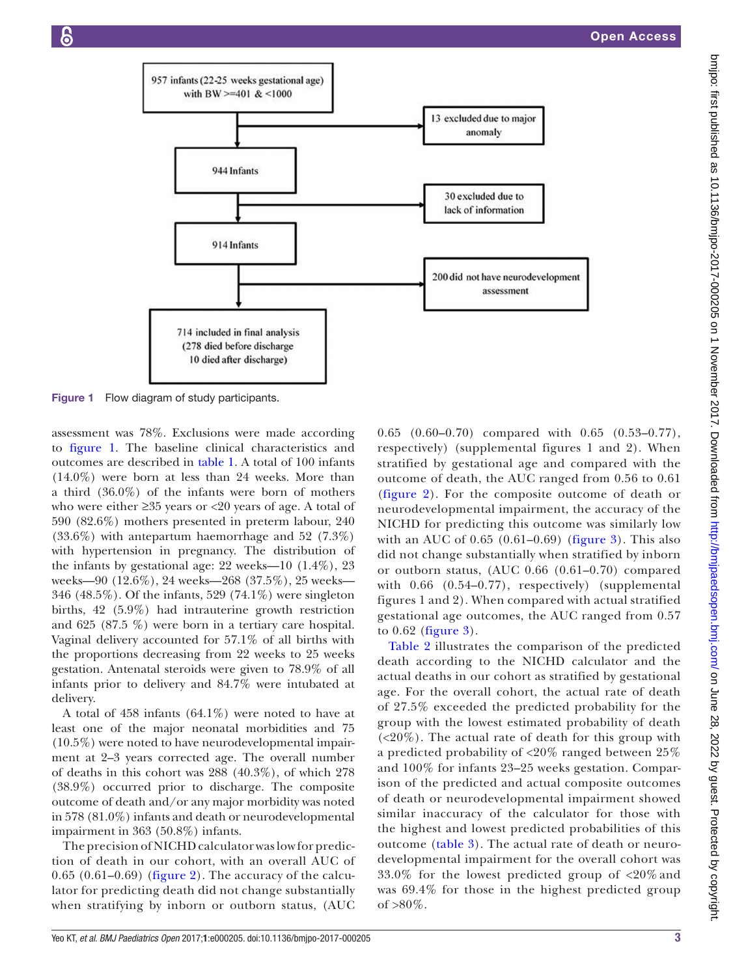

Figure 1 Flow diagram of study participants.

assessment was 78%. Exclusions were made according to [figure](#page-2-0) 1. The baseline clinical characteristics and outcomes are described in [table](#page-3-0) 1. A total of 100 infants (14.0%) were born at less than 24 weeks. More than a third (36.0%) of the infants were born of mothers who were either ≥35 years or <20 years of age. A total of 590 (82.6%) mothers presented in preterm labour, 240 (33.6%) with antepartum haemorrhage and 52 (7.3%) with hypertension in pregnancy. The distribution of the infants by gestational age:  $22$  weeks—10  $(1.4\%)$ ,  $23$ weeks—90 (12.6%), 24 weeks—268 (37.5%), 25 weeks— 346 (48.5%). Of the infants, 529 (74.1%) were singleton births, 42 (5.9%) had intrauterine growth restriction and 625 (87.5 %) were born in a tertiary care hospital. Vaginal delivery accounted for 57.1% of all births with the proportions decreasing from 22 weeks to 25 weeks gestation. Antenatal steroids were given to 78.9% of all infants prior to delivery and 84.7% were intubated at delivery.

A total of 458 infants (64.1%) were noted to have at least one of the major neonatal morbidities and 75 (10.5%) were noted to have neurodevelopmental impairment at 2–3 years corrected age. The overall number of deaths in this cohort was 288 (40.3%), of which 278 (38.9%) occurred prior to discharge. The composite outcome of death and/or any major morbidity was noted in 578 (81.0%) infants and death or neurodevelopmental impairment in 363 (50.8%) infants.

The precision of NICHD calculator was low for prediction of death in our cohort, with an overall AUC of  $0.65$   $(0.61-0.69)$  ([figure](#page-4-0) 2). The accuracy of the calculator for predicting death did not change substantially when stratifying by inborn or outborn status, (AUC

<span id="page-2-0"></span>0.65 (0.60–0.70) compared with 0.65 (0.53–0.77), respectively) ([supplemental figures 1](https://dx.doi.org/10.1136/bmjpo-2017-000205) and 2). When stratified by gestational age and compared with the outcome of death, the AUC ranged from 0.56 to 0.61 ([figure](#page-4-0) 2). For the composite outcome of death or neurodevelopmental impairment, the accuracy of the NICHD for predicting this outcome was similarly low with an AUC of 0.65 (0.61–0.69) [\(figure](#page-5-0) 3). This also did not change substantially when stratified by inborn or outborn status, (AUC 0.66 (0.61–0.70) compared with  $0.66$   $(0.54-0.77)$ , respectively) ([supplemental](https://dx.doi.org/10.1136/bmjpo-2017-000205) [figures 1 and 2](https://dx.doi.org/10.1136/bmjpo-2017-000205)). When compared with actual stratified gestational age outcomes, the AUC ranged from 0.57 to 0.62 ([figure](#page-5-0) 3).

[Table](#page-5-1) 2 illustrates the comparison of the predicted death according to the NICHD calculator and the actual deaths in our cohort as stratified by gestational age. For the overall cohort, the actual rate of death of 27.5% exceeded the predicted probability for the group with the lowest estimated probability of death  $\left( \langle 20\% \rangle \right)$ . The actual rate of death for this group with a predicted probability of <20% ranged between 25% and 100% for infants 23–25 weeks gestation. Comparison of the predicted and actual composite outcomes of death or neurodevelopmental impairment showed similar inaccuracy of the calculator for those with the highest and lowest predicted probabilities of this outcome ([table](#page-6-1) 3). The actual rate of death or neurodevelopmental impairment for the overall cohort was 33.0% for the lowest predicted group of <20% and was 69.4% for those in the highest predicted group of  $>80\%$ .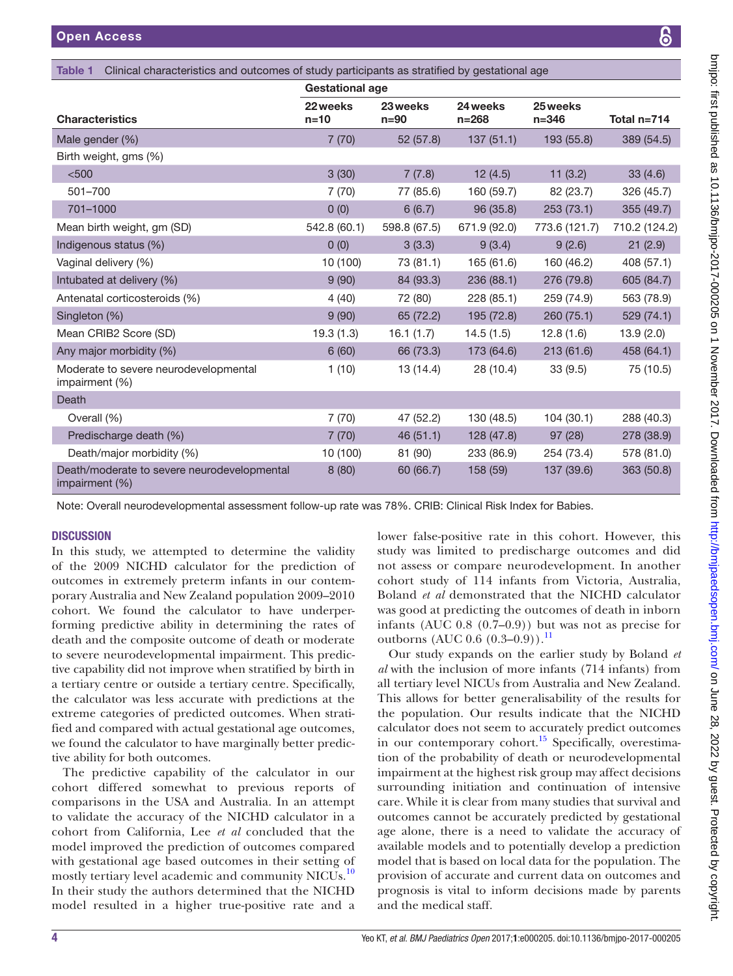|                                                               | <b>Gestational age</b> |                    |                       |                       |               |  |
|---------------------------------------------------------------|------------------------|--------------------|-----------------------|-----------------------|---------------|--|
| <b>Characteristics</b>                                        | 22 weeks<br>$n=10$     | 23 weeks<br>$n=90$ | 24 weeks<br>$n = 268$ | 25 weeks<br>$n = 346$ | Total n=714   |  |
| Male gender (%)                                               | 7(70)                  | 52 (57.8)          | 137(51.1)             | 193 (55.8)            | 389 (54.5)    |  |
| Birth weight, gms (%)                                         |                        |                    |                       |                       |               |  |
| $< 500$                                                       | 3(30)                  | 7(7.8)             | 12(4.5)               | 11(3.2)               | 33(4.6)       |  |
| $501 - 700$                                                   | 7(70)                  | 77 (85.6)          | 160 (59.7)            | 82 (23.7)             | 326 (45.7)    |  |
| 701-1000                                                      | 0(0)                   | 6(6.7)             | 96 (35.8)             | 253(73.1)             | 355 (49.7)    |  |
| Mean birth weight, gm (SD)                                    | 542.8 (60.1)           | 598.8 (67.5)       | 671.9 (92.0)          | 773.6 (121.7)         | 710.2 (124.2) |  |
| Indigenous status (%)                                         | 0(0)                   | 3(3.3)             | 9(3.4)                | 9(2.6)                | 21(2.9)       |  |
| Vaginal delivery (%)                                          | 10 (100)               | 73 (81.1)          | 165 (61.6)            | 160 (46.2)            | 408 (57.1)    |  |
| Intubated at delivery (%)                                     | 9(90)                  | 84 (93.3)          | 236 (88.1)            | 276 (79.8)            | 605 (84.7)    |  |
| Antenatal corticosteroids (%)                                 | 4(40)                  | 72 (80)            | 228 (85.1)            | 259 (74.9)            | 563 (78.9)    |  |
| Singleton (%)                                                 | 9(90)                  | 65 (72.2)          | 195 (72.8)            | 260(75.1)             | 529(74.1)     |  |
| Mean CRIB2 Score (SD)                                         | 19.3(1.3)              | 16.1(1.7)          | 14.5(1.5)             | 12.8(1.6)             | 13.9(2.0)     |  |
| Any major morbidity (%)                                       | 6(60)                  | 66 (73.3)          | 173 (64.6)            | 213(61.6)             | 458 (64.1)    |  |
| Moderate to severe neurodevelopmental<br>impairment (%)       | 1(10)                  | 13(14.4)           | 28 (10.4)             | 33(9.5)               | 75 (10.5)     |  |
| Death                                                         |                        |                    |                       |                       |               |  |
| Overall (%)                                                   | 7(70)                  | 47 (52.2)          | 130 (48.5)            | 104(30.1)             | 288 (40.3)    |  |
| Predischarge death (%)                                        | 7(70)                  | 46(51.1)           | 128 (47.8)            | 97 (28)               | 278 (38.9)    |  |
| Death/major morbidity (%)                                     | 10 (100)               | 81 (90)            | 233 (86.9)            | 254 (73.4)            | 578 (81.0)    |  |
| Death/moderate to severe neurodevelopmental<br>impairment (%) | 8(80)                  | 60 (66.7)          | 158 (59)              | 137 (39.6)            | 363 (50.8)    |  |

<span id="page-3-0"></span>Table 1 Clinical characteristics and outcomes of study participants as stratified by gestational age

**DISCUSSION** 

In this study, we attempted to determine the validity of the 2009 NICHD calculator for the prediction of outcomes in extremely preterm infants in our contemporary Australia and New Zealand population 2009–2010 cohort. We found the calculator to have underperforming predictive ability in determining the rates of death and the composite outcome of death or moderate to severe neurodevelopmental impairment. This predictive capability did not improve when stratified by birth in a tertiary centre or outside a tertiary centre. Specifically, the calculator was less accurate with predictions at the extreme categories of predicted outcomes. When stratified and compared with actual gestational age outcomes, we found the calculator to have marginally better predictive ability for both outcomes.

The predictive capability of the calculator in our cohort differed somewhat to previous reports of comparisons in the USA and Australia. In an attempt to validate the accuracy of the NICHD calculator in a cohort from California, Lee *et al* concluded that the model improved the prediction of outcomes compared with gestational age based outcomes in their setting of mostly tertiary level academic and community NICUs.<sup>[10](#page-7-3)</sup> In their study the authors determined that the NICHD model resulted in a higher true-positive rate and a

lower false-positive rate in this cohort. However, this study was limited to predischarge outcomes and did not assess or compare neurodevelopment. In another cohort study of 114 infants from Victoria, Australia, Boland *et al* demonstrated that the NICHD calculator was good at predicting the outcomes of death in inborn infants (AUC  $0.8$   $(0.7-0.9)$ ) but was not as precise for outborns (AUC 0.6  $(0.3-0.9)$ ).<sup>[11](#page-7-7)</sup>

Our study expands on the earlier study by Boland *et al* with the inclusion of more infants (714 infants) from all tertiary level NICUs from Australia and New Zealand. This allows for better generalisability of the results for the population. Our results indicate that the NICHD calculator does not seem to accurately predict outcomes in our contemporary cohort.<sup>15</sup> Specifically, overestimation of the probability of death or neurodevelopmental impairment at the highest risk group may affect decisions surrounding initiation and continuation of intensive care. While it is clear from many studies that survival and outcomes cannot be accurately predicted by gestational age alone, there is a need to validate the accuracy of available models and to potentially develop a prediction model that is based on local data for the population. The provision of accurate and current data on outcomes and prognosis is vital to inform decisions made by parents and the medical staff.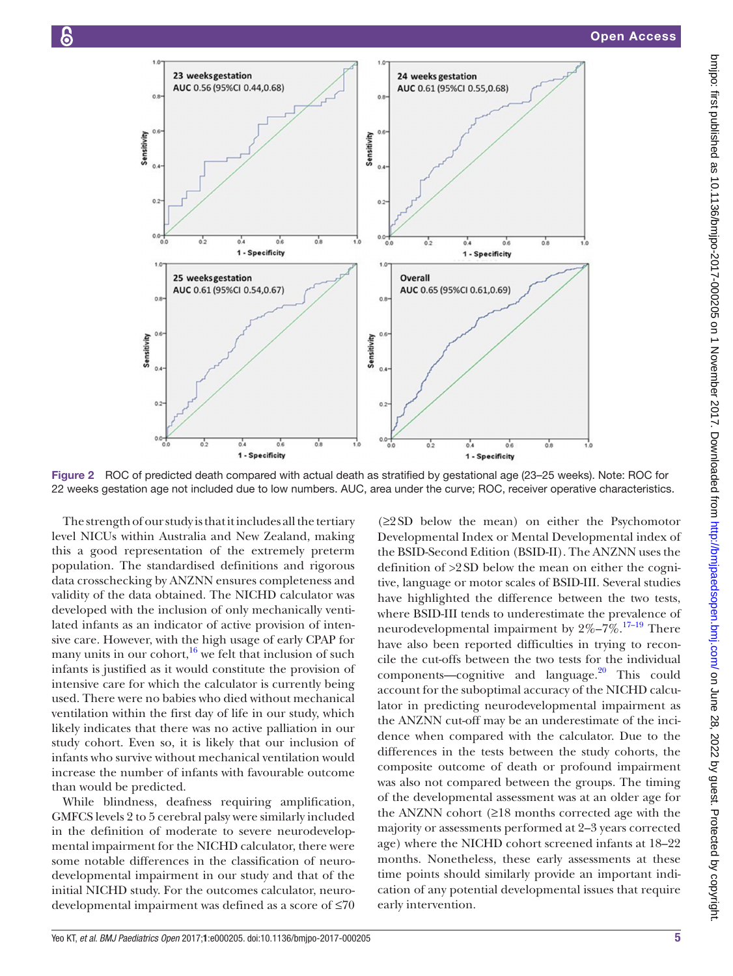

Figure 2 ROC of predicted death compared with actual death as stratified by gestational age (23–25 weeks). Note: ROC for 22 weeks gestation age not included due to low numbers. AUC, area under the curve; ROC, receiver operative characteristics.

The strength of our study is that it includes all the tertiary level NICUs within Australia and New Zealand, making this a good representation of the extremely preterm population. The standardised definitions and rigorous data crosschecking by ANZNN ensures completeness and validity of the data obtained. The NICHD calculator was developed with the inclusion of only mechanically ventilated infants as an indicator of active provision of intensive care. However, with the high usage of early CPAP for many units in our cohort, $16$  we felt that inclusion of such infants is justified as it would constitute the provision of intensive care for which the calculator is currently being used. There were no babies who died without mechanical ventilation within the first day of life in our study, which likely indicates that there was no active palliation in our study cohort. Even so, it is likely that our inclusion of infants who survive without mechanical ventilation would increase the number of infants with favourable outcome than would be predicted.

While blindness, deafness requiring amplification, GMFCS levels 2 to 5 cerebral palsy were similarly included in the definition of moderate to severe neurodevelopmental impairment for the NICHD calculator, there were some notable differences in the classification of neurodevelopmental impairment in our study and that of the initial NICHD study. For the outcomes calculator, neurodevelopmental impairment was defined as a score of ≤70

<span id="page-4-0"></span>(≥2SD below the mean) on either the Psychomotor Developmental Index or Mental Developmental index of the BSID-Second Edition (BSID-II). The ANZNN uses the definition of >2SD below the mean on either the cognitive, language or motor scales of BSID-III. Several studies have highlighted the difference between the two tests, where BSID-III tends to underestimate the prevalence of neurodevelopmental impairment by  $2\%-7\%$ .<sup>17–19</sup> There have also been reported difficulties in trying to reconcile the cut-offs between the two tests for the individual components—cognitive and language.[20](#page-7-11) This could account for the suboptimal accuracy of the NICHD calculator in predicting neurodevelopmental impairment as the ANZNN cut-off may be an underestimate of the incidence when compared with the calculator. Due to the differences in the tests between the study cohorts, the composite outcome of death or profound impairment was also not compared between the groups. The timing of the developmental assessment was at an older age for the ANZNN cohort  $(≥18$  months corrected age with the majority or assessments performed at 2–3 years corrected age) where the NICHD cohort screened infants at 18–22 months. Nonetheless, these early assessments at these time points should similarly provide an important indication of any potential developmental issues that require early intervention.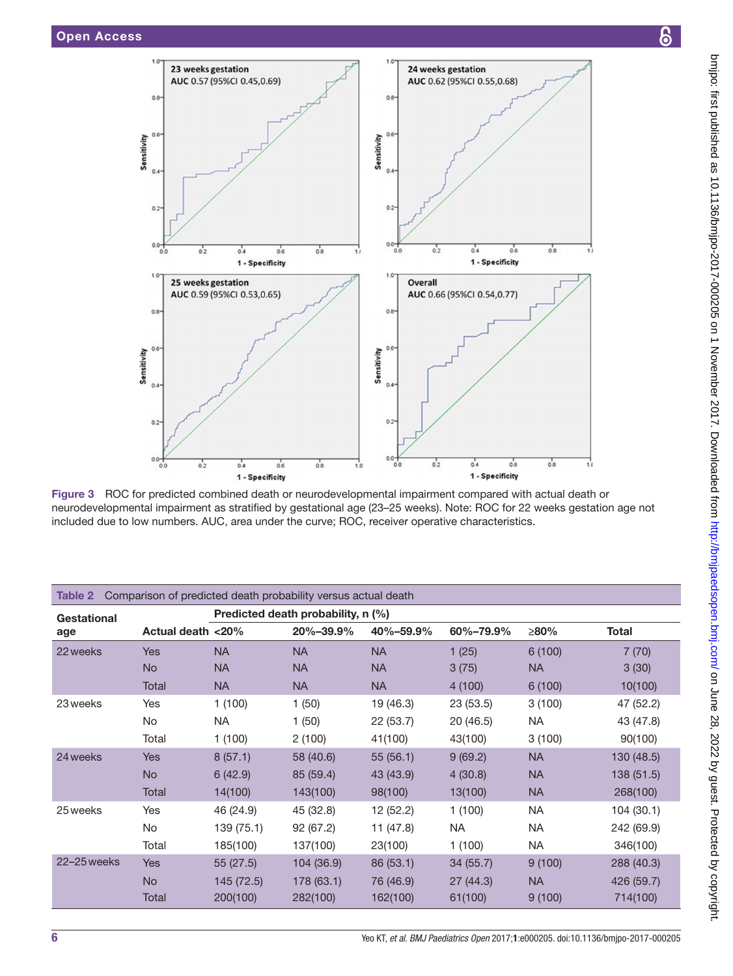

<span id="page-5-0"></span>Figure 3 ROC for predicted combined death or neurodevelopmental impairment compared with actual death or neurodevelopmental impairment as stratified by gestational age (23–25 weeks). Note: ROC for 22 weeks gestation age not included due to low numbers. AUC, area under the curve; ROC, receiver operative characteristics.

<span id="page-5-1"></span>

| Comparison of predicted death probability versus actual death<br>Table 2 |                   |            |                                    |           |           |           |              |  |
|--------------------------------------------------------------------------|-------------------|------------|------------------------------------|-----------|-----------|-----------|--------------|--|
| <b>Gestational</b>                                                       |                   |            | Predicted death probability, n (%) |           |           |           |              |  |
| age                                                                      | Actual death <20% |            | $20\% - 39.9\%$                    | 40%-59.9% | 60%-79.9% | ≥80%      | <b>Total</b> |  |
| 22 weeks                                                                 | Yes               | <b>NA</b>  | <b>NA</b>                          | <b>NA</b> | 1(25)     | 6(100)    | 7(70)        |  |
|                                                                          | <b>No</b>         | <b>NA</b>  | <b>NA</b>                          | NA.       | 3(75)     | <b>NA</b> | 3(30)        |  |
|                                                                          | Total             | <b>NA</b>  | <b>NA</b>                          | NA.       | 4(100)    | 6(100)    | 10(100)      |  |
| 23 weeks                                                                 | <b>Yes</b>        | 1(100)     | 1(50)                              | 19 (46.3) | 23(53.5)  | 3(100)    | 47 (52.2)    |  |
|                                                                          | No                | <b>NA</b>  | 1(50)                              | 22(53.7)  | 20 (46.5) | NA        | 43 (47.8)    |  |
|                                                                          | Total             | 1(100)     | 2(100)                             | 41(100)   | 43(100)   | 3(100)    | 90(100)      |  |
| 24 weeks                                                                 | <b>Yes</b>        | 8(57.1)    | 58 (40.6)                          | 55(56.1)  | 9(69.2)   | NA.       | 130 (48.5)   |  |
|                                                                          | <b>No</b>         | 6(42.9)    | 85 (59.4)                          | 43 (43.9) | 4(30.8)   | <b>NA</b> | 138 (51.5)   |  |
|                                                                          | Total             | 14(100)    | 143(100)                           | 98(100)   | 13(100)   | <b>NA</b> | 268(100)     |  |
| 25 weeks                                                                 | Yes               | 46 (24.9)  | 45 (32.8)                          | 12(52.2)  | 1(100)    | NA        | 104 (30.1)   |  |
|                                                                          | No                | 139 (75.1) | 92(67.2)                           | 11 (47.8) | NA.       | NА        | 242 (69.9)   |  |
|                                                                          | Total             | 185(100)   | 137(100)                           | 23(100)   | 1(100)    | ΝA        | 346(100)     |  |
| 22-25 weeks                                                              | <b>Yes</b>        | 55(27.5)   | 104 (36.9)                         | 86 (53.1) | 34(55.7)  | 9(100)    | 288 (40.3)   |  |
|                                                                          | <b>No</b>         | 145 (72.5) | 178 (63.1)                         | 76 (46.9) | 27(44.3)  | <b>NA</b> | 426 (59.7)   |  |
|                                                                          | Total             | 200(100)   | 282(100)                           | 162(100)  | 61(100)   | 9(100)    | 714(100)     |  |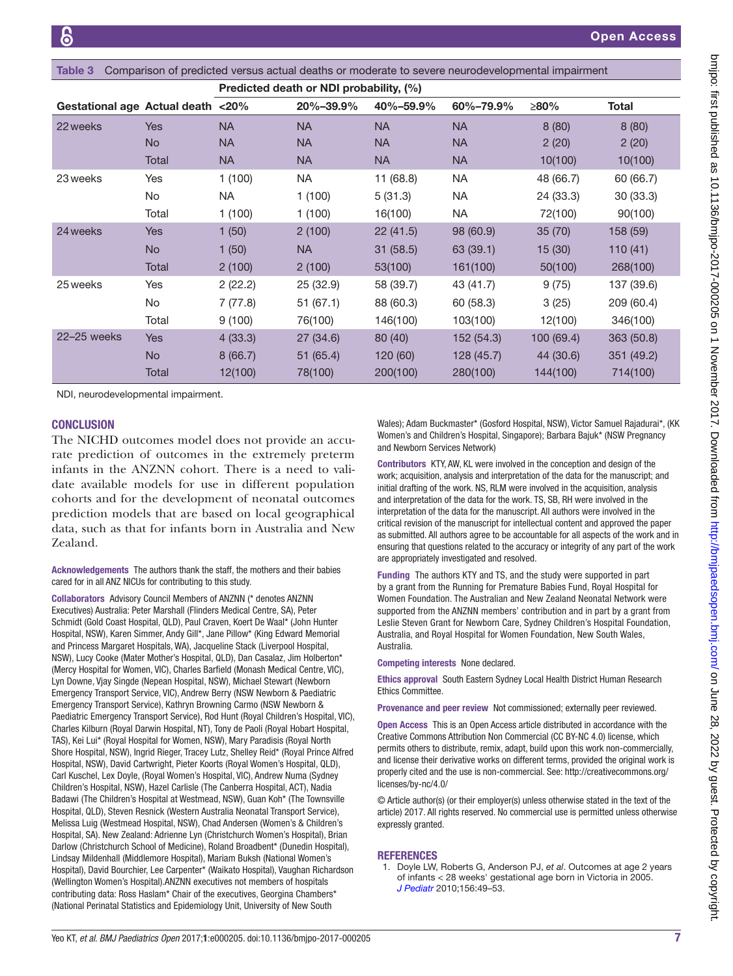<span id="page-6-1"></span>

| Comparison of predicted versus actual deaths or moderate to severe neurodevelopmental impairment<br>Table 3 |            |                                         |           |           |            |            |              |  |
|-------------------------------------------------------------------------------------------------------------|------------|-----------------------------------------|-----------|-----------|------------|------------|--------------|--|
|                                                                                                             |            | Predicted death or NDI probability, (%) |           |           |            |            |              |  |
| Gestational age Actual death <20%                                                                           |            |                                         | 20%-39.9% | 40%-59.9% | 60%-79.9%  | ≥80%       | <b>Total</b> |  |
| 22 weeks                                                                                                    | <b>Yes</b> | <b>NA</b>                               | <b>NA</b> | <b>NA</b> | <b>NA</b>  | 8(80)      | 8(80)        |  |
|                                                                                                             | <b>No</b>  | <b>NA</b>                               | <b>NA</b> | <b>NA</b> | <b>NA</b>  | 2(20)      | 2(20)        |  |
|                                                                                                             | Total      | <b>NA</b>                               | <b>NA</b> | <b>NA</b> | <b>NA</b>  | 10(100)    | 10(100)      |  |
| 23 weeks                                                                                                    | Yes        | 1(100)                                  | <b>NA</b> | 11(68.8)  | NA.        | 48 (66.7)  | 60 (66.7)    |  |
|                                                                                                             | No         | <b>NA</b>                               | 1(100)    | 5(31.3)   | <b>NA</b>  | 24 (33.3)  | 30(33.3)     |  |
|                                                                                                             | Total      | 1(100)                                  | 1(100)    | 16(100)   | <b>NA</b>  | 72(100)    | 90(100)      |  |
| 24 weeks                                                                                                    | <b>Yes</b> | 1(50)                                   | 2(100)    | 22(41.5)  | 98 (60.9)  | 35(70)     | 158 (59)     |  |
|                                                                                                             | <b>No</b>  | 1(50)                                   | <b>NA</b> | 31(58.5)  | 63 (39.1)  | 15(30)     | 110(41)      |  |
|                                                                                                             | Total      | 2(100)                                  | 2(100)    | 53(100)   | 161(100)   | 50(100)    | 268(100)     |  |
| 25 weeks                                                                                                    | Yes        | 2(22.2)                                 | 25 (32.9) | 58 (39.7) | 43 (41.7)  | 9(75)      | 137 (39.6)   |  |
|                                                                                                             | No         | 7(77.8)                                 | 51(67.1)  | 88 (60.3) | 60 (58.3)  | 3(25)      | 209 (60.4)   |  |
|                                                                                                             | Total      | 9(100)                                  | 76(100)   | 146(100)  | 103(100)   | 12(100)    | 346(100)     |  |
| $22 - 25$ weeks                                                                                             | <b>Yes</b> | 4(33.3)                                 | 27(34.6)  | 80(40)    | 152 (54.3) | 100 (69.4) | 363 (50.8)   |  |
|                                                                                                             | <b>No</b>  | 8(66.7)                                 | 51(65.4)  | 120 (60)  | 128 (45.7) | 44 (30.6)  | 351 (49.2)   |  |
|                                                                                                             | Total      | 12(100)                                 | 78(100)   | 200(100)  | 280(100)   | 144(100)   | 714(100)     |  |

NDI, neurodevelopmental impairment.

#### **CONCLUSION**

The NICHD outcomes model does not provide an accurate prediction of outcomes in the extremely preterm infants in the ANZNN cohort. There is a need to validate available models for use in different population cohorts and for the development of neonatal outcomes prediction models that are based on local geographical data, such as that for infants born in Australia and New Zealand.

Acknowledgements The authors thank the staff, the mothers and their babies cared for in all ANZ NICUs for contributing to this study.

Collaborators Advisory Council Members of ANZNN (\* denotes ANZNN Executives) Australia: Peter Marshall (Flinders Medical Centre, SA), Peter Schmidt (Gold Coast Hospital, QLD), Paul Craven, Koert De Waal\* (John Hunter Hospital, NSW), Karen Simmer, Andy Gill\*, Jane Pillow\* (King Edward Memorial and Princess Margaret Hospitals, WA), Jacqueline Stack (Liverpool Hospital, NSW), Lucy Cooke (Mater Mother's Hospital, QLD), Dan Casalaz, Jim Holberton\* (Mercy Hospital for Women, VIC), Charles Barfield (Monash Medical Centre, VIC), Lyn Downe, Vjay Singde (Nepean Hospital, NSW), Michael Stewart (Newborn Emergency Transport Service, VIC), Andrew Berry (NSW Newborn & Paediatric Emergency Transport Service), Kathryn Browning Carmo (NSW Newborn & Paediatric Emergency Transport Service), Rod Hunt (Royal Children's Hospital, VIC), Charles Kilburn (Royal Darwin Hospital, NT), Tony de Paoli (Royal Hobart Hospital, TAS), Kei Lui\* (Royal Hospital for Women, NSW), Mary Paradisis (Royal North Shore Hospital, NSW), Ingrid Rieger, Tracey Lutz, Shelley Reid\* (Royal Prince Alfred Hospital, NSW), David Cartwright, Pieter Koorts (Royal Women's Hospital, QLD), Carl Kuschel, Lex Doyle, (Royal Women's Hospital, VIC), Andrew Numa (Sydney Children's Hospital, NSW), Hazel Carlisle (The Canberra Hospital, ACT), Nadia Badawi (The Children's Hospital at Westmead, NSW), Guan Koh\* (The Townsville Hospital, QLD), Steven Resnick (Western Australia Neonatal Transport Service), Melissa Luig (Westmead Hospital, NSW), Chad Andersen (Women's & Children's Hospital, SA). New Zealand: Adrienne Lyn (Christchurch Women's Hospital), Brian Darlow (Christchurch School of Medicine), Roland Broadbent\* (Dunedin Hospital), Lindsay Mildenhall (Middlemore Hospital), Mariam Buksh (National Women's Hospital), David Bourchier, Lee Carpenter\* (Waikato Hospital), Vaughan Richardson (Wellington Women's Hospital).ANZNN executives not members of hospitals contributing data: Ross Haslam\* Chair of the executives, Georgina Chambers\* (National Perinatal Statistics and Epidemiology Unit, University of New South

Wales); Adam Buckmaster\* (Gosford Hospital, NSW), Victor Samuel Rajadurai\*, (KK Women's and Children's Hospital, Singapore); Barbara Bajuk\* (NSW Pregnancy and Newborn Services Network)

Contributors KTY, AW, KL were involved in the conception and design of the work; acquisition, analysis and interpretation of the data for the manuscript; and initial drafting of the work. NS, RLM were involved in the acquisition, analysis and interpretation of the data for the work. TS, SB, RH were involved in the interpretation of the data for the manuscript. All authors were involved in the critical revision of the manuscript for intellectual content and approved the paper as submitted. All authors agree to be accountable for all aspects of the work and in ensuring that questions related to the accuracy or integrity of any part of the work are appropriately investigated and resolved.

Funding The authors KTY and TS, and the study were supported in part by a grant from the Running for Premature Babies Fund, Royal Hospital for Women Foundation. The Australian and New Zealand Neonatal Network were supported from the ANZNN members' contribution and in part by a grant from Leslie Steven Grant for Newborn Care, Sydney Children's Hospital Foundation, Australia, and Royal Hospital for Women Foundation, New South Wales, Australia.

Competing interests None declared.

Ethics approval South Eastern Sydney Local Health District Human Research Ethics Committee.

Provenance and peer review Not commissioned; externally peer reviewed.

Open Access This is an Open Access article distributed in accordance with the Creative Commons Attribution Non Commercial (CC BY-NC 4.0) license, which permits others to distribute, remix, adapt, build upon this work non-commercially, and license their derivative works on different terms, provided the original work is properly cited and the use is non-commercial. See: [http://creativecommons.org/](http://creativecommons.org/licenses/by-nc/4.0/) [licenses/by-nc/4.0/](http://creativecommons.org/licenses/by-nc/4.0/)

© Article author(s) (or their employer(s) unless otherwise stated in the text of the article) 2017. All rights reserved. No commercial use is permitted unless otherwise expressly granted.

#### **REFERENCES**

<span id="page-6-0"></span>1. Doyle LW, Roberts G, Anderson PJ, *et al*. Outcomes at age 2 years of infants < 28 weeks' gestational age born in Victoria in 2005. *[J Pediatr](http://dx.doi.org/10.1016/j.jpeds.2009.07.013)* 2010;156:49–53.